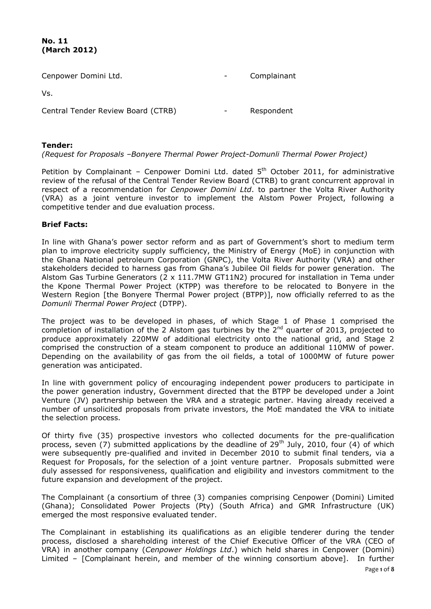## **No. 11 (March 2012)**

| Cenpower Domini Ltd.               | Complainant |
|------------------------------------|-------------|
| Vs.                                |             |
| Central Tender Review Board (CTRB) | Respondent  |

# **Tender:**

*(Request for Proposals –Bonyere Thermal Power Project-Domunli Thermal Power Project)* 

Petition by Complainant - Cenpower Domini Ltd. dated  $5<sup>th</sup>$  October 2011, for administrative review of the refusal of the Central Tender Review Board (CTRB) to grant concurrent approval in respect of a recommendation for *Cenpower Domini Ltd*. to partner the Volta River Authority (VRA) as a joint venture investor to implement the Alstom Power Project, following a competitive tender and due evaluation process.

# **Brief Facts:**

In line with Ghana's power sector reform and as part of Government's short to medium term plan to improve electricity supply sufficiency, the Ministry of Energy (MoE) in conjunction with the Ghana National petroleum Corporation (GNPC), the Volta River Authority (VRA) and other stakeholders decided to harness gas from Ghana's Jubilee Oil fields for power generation. The Alstom Gas Turbine Generators (2 x 111.7MW GT11N2) procured for installation in Tema under the Kpone Thermal Power Project (KTPP) was therefore to be relocated to Bonyere in the Western Region [the Bonyere Thermal Power project (BTPP)], now officially referred to as the *Domunli Thermal Power Project* (DTPP).

The project was to be developed in phases, of which Stage 1 of Phase 1 comprised the completion of installation of the 2 Alstom gas turbines by the  $2^{nd}$  quarter of 2013, projected to produce approximately 220MW of additional electricity onto the national grid, and Stage 2 comprised the construction of a steam component to produce an additional 110MW of power. Depending on the availability of gas from the oil fields, a total of 1000MW of future power generation was anticipated.

In line with government policy of encouraging independent power producers to participate in the power generation industry, Government directed that the BTPP be developed under a Joint Venture (JV) partnership between the VRA and a strategic partner. Having already received a number of unsolicited proposals from private investors, the MoE mandated the VRA to initiate the selection process.

Of thirty five (35) prospective investors who collected documents for the pre-qualification process, seven (7) submitted applications by the deadline of 29<sup>th</sup> July, 2010, four (4) of which were subsequently pre-qualified and invited in December 2010 to submit final tenders, via a Request for Proposals, for the selection of a joint venture partner. Proposals submitted were duly assessed for responsiveness, qualification and eligibility and investors commitment to the future expansion and development of the project.

The Complainant (a consortium of three (3) companies comprising Cenpower (Domini) Limited (Ghana); Consolidated Power Projects (Pty) (South Africa) and GMR Infrastructure (UK) emerged the most responsive evaluated tender.

The Complainant in establishing its qualifications as an eligible tenderer during the tender process, disclosed a shareholding interest of the Chief Executive Officer of the VRA (CEO of VRA) in another company (*Cenpower Holdings Ltd*.) which held shares in Cenpower (Domini) Limited – [Complainant herein, and member of the winning consortium above]. In further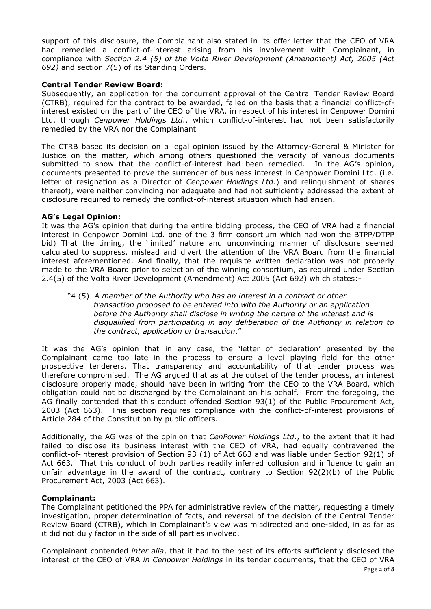support of this disclosure, the Complainant also stated in its offer letter that the CEO of VRA had remedied a conflict-of-interest arising from his involvement with Complainant, in compliance with *Section 2.4 (5) of the Volta River Development (Amendment) Act, 2005 (Act 692)* and section 7(5) of its Standing Orders.

### **Central Tender Review Board:**

Subsequently, an application for the concurrent approval of the Central Tender Review Board (CTRB), required for the contract to be awarded, failed on the basis that a financial conflict-ofinterest existed on the part of the CEO of the VRA, in respect of his interest in Cenpower Domini Ltd. through *Cenpower Holdings Ltd*., which conflict-of-interest had not been satisfactorily remedied by the VRA nor the Complainant

The CTRB based its decision on a legal opinion issued by the Attorney-General & Minister for Justice on the matter, which among others questioned the veracity of various documents submitted to show that the conflict-of-interest had been remedied. In the AG's opinion, documents presented to prove the surrender of business interest in Cenpower Domini Ltd. (i.e. letter of resignation as a Director of *Cenpower Holdings Ltd*.) and relinquishment of shares thereof), were neither convincing nor adequate and had not sufficiently addressed the extent of disclosure required to remedy the conflict-of-interest situation which had arisen.

### **AG's Legal Opinion:**

It was the AG's opinion that during the entire bidding process, the CEO of VRA had a financial interest in Cenpower Domini Ltd. one of the 3 firm consortium which had won the BTPP/DTPP bid) That the timing, the 'limited' nature and unconvincing manner of disclosure seemed calculated to suppress, mislead and divert the attention of the VRA Board from the financial interest aforementioned. And finally, that the requisite written declaration was not properly made to the VRA Board prior to selection of the winning consortium, as required under Section 2.4(5) of the Volta River Development (Amendment) Act 2005 (Act 692) which states:-

"4 (5) *A member of the Authority who has an interest in a contract or other transaction proposed to be entered into with the Authority or an application before the Authority shall disclose in writing the nature of the interest and is disqualified from participating in any deliberation of the Authority in relation to the contract, application or transaction*."

It was the AG's opinion that in any case, the 'letter of declaration' presented by the Complainant came too late in the process to ensure a level playing field for the other prospective tenderers. That transparency and accountability of that tender process was therefore compromised. The AG argued that as at the outset of the tender process, an interest disclosure properly made, should have been in writing from the CEO to the VRA Board, which obligation could not be discharged by the Complainant on his behalf. From the foregoing, the AG finally contended that this conduct offended Section 93(1) of the Public Procurement Act, 2003 (Act 663). This section requires compliance with the conflict-of-interest provisions of Article 284 of the Constitution by public officers.

Additionally, the AG was of the opinion that *CenPower Holdings Ltd*., to the extent that it had failed to disclose its business interest with the CEO of VRA, had equally contravened the conflict-of-interest provision of Section 93 (1) of Act 663 and was liable under Section 92(1) of Act 663. That this conduct of both parties readily inferred collusion and influence to gain an unfair advantage in the award of the contract, contrary to Section 92(2)(b) of the Public Procurement Act, 2003 (Act 663).

### **Complainant:**

The Complainant petitioned the PPA for administrative review of the matter, requesting a timely investigation, proper determination of facts, and reversal of the decision of the Central Tender Review Board (CTRB), which in Complainant's view was misdirected and one-sided, in as far as it did not duly factor in the side of all parties involved.

Complainant contended *inter alia*, that it had to the best of its efforts sufficiently disclosed the interest of the CEO of VRA *in Cenpower Holdings* in its tender documents, that the CEO of VRA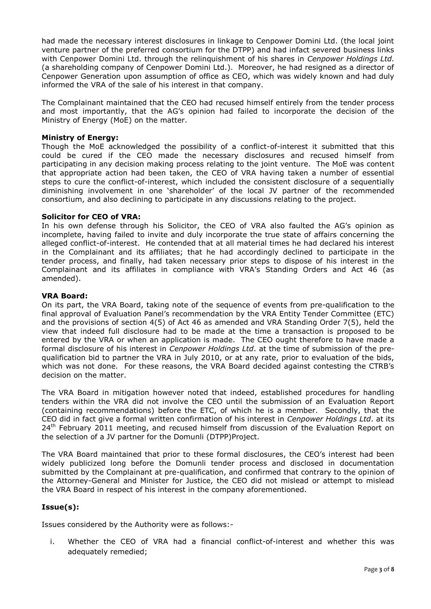had made the necessary interest disclosures in linkage to Cenpower Domini Ltd. (the local joint venture partner of the preferred consortium for the DTPP) and had infact severed business links with Cenpower Domini Ltd. through the relinquishment of his shares in *Cenpower Holdings Ltd.*  (a shareholding company of Cenpower Domini Ltd.). Moreover, he had resigned as a director of Cenpower Generation upon assumption of office as CEO, which was widely known and had duly informed the VRA of the sale of his interest in that company.

The Complainant maintained that the CEO had recused himself entirely from the tender process and most importantly, that the AG's opinion had failed to incorporate the decision of the Ministry of Energy (MoE) on the matter.

## **Ministry of Energy:**

Though the MoE acknowledged the possibility of a conflict-of-interest it submitted that this could be cured if the CEO made the necessary disclosures and recused himself from participating in any decision making process relating to the joint venture. The MoE was content that appropriate action had been taken, the CEO of VRA having taken a number of essential steps to cure the conflict-of-interest, which included the consistent disclosure of a sequentially diminishing involvement in one 'shareholder' of the local JV partner of the recommended consortium, and also declining to participate in any discussions relating to the project.

### **Solicitor for CEO of VRA:**

In his own defense through his Solicitor, the CEO of VRA also faulted the AG's opinion as incomplete, having failed to invite and duly incorporate the true state of affairs concerning the alleged conflict-of-interest. He contended that at all material times he had declared his interest in the Complainant and its affiliates; that he had accordingly declined to participate in the tender process, and finally, had taken necessary prior steps to dispose of his interest in the Complainant and its affiliates in compliance with VRA's Standing Orders and Act 46 (as amended).

# **VRA Board:**

On its part, the VRA Board, taking note of the sequence of events from pre-qualification to the final approval of Evaluation Panel's recommendation by the VRA Entity Tender Committee (ETC) and the provisions of section 4(5) of Act 46 as amended and VRA Standing Order 7(5), held the view that indeed full disclosure had to be made at the time a transaction is proposed to be entered by the VRA or when an application is made. The CEO ought therefore to have made a formal disclosure of his interest in *Cenpower Holdings Ltd*. at the time of submission of the prequalification bid to partner the VRA in July 2010, or at any rate, prior to evaluation of the bids, which was not done. For these reasons, the VRA Board decided against contesting the CTRB's decision on the matter.

The VRA Board in mitigation however noted that indeed, established procedures for handling tenders within the VRA did not involve the CEO until the submission of an Evaluation Report (containing recommendations) before the ETC, of which he is a member. Secondly, that the CEO did in fact give a formal written confirmation of his interest in *Cenpower Holdings Ltd*. at its  $24<sup>th</sup>$  February 2011 meeting, and recused himself from discussion of the Evaluation Report on the selection of a JV partner for the Domunli (DTPP)Project.

The VRA Board maintained that prior to these formal disclosures, the CEO's interest had been widely publicized long before the Domunli tender process and disclosed in documentation submitted by the Complainant at pre-qualification, and confirmed that contrary to the opinion of the Attorney-General and Minister for Justice, the CEO did not mislead or attempt to mislead the VRA Board in respect of his interest in the company aforementioned.

# **Issue(s):**

Issues considered by the Authority were as follows:-

i. Whether the CEO of VRA had a financial conflict-of-interest and whether this was adequately remedied;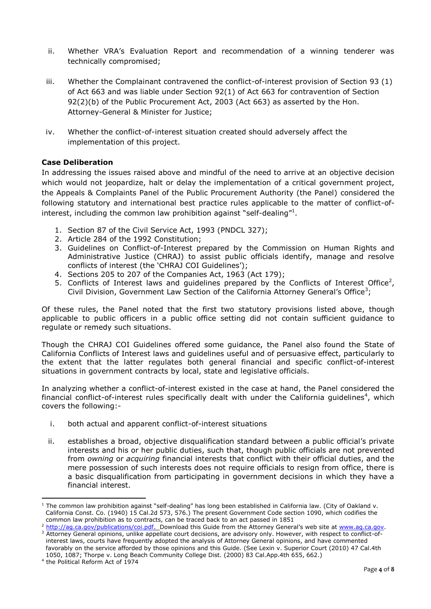- ii. Whether VRA's Evaluation Report and recommendation of a winning tenderer was technically compromised;
- iii. Whether the Complainant contravened the conflict-of-interest provision of Section 93 (1) of Act 663 and was liable under Section 92(1) of Act 663 for contravention of Section 92(2)(b) of the Public Procurement Act, 2003 (Act 663) as asserted by the Hon. Attorney-General & Minister for Justice;
- iv. Whether the conflict-of-interest situation created should adversely affect the implementation of this project.

# **Case Deliberation**

In addressing the issues raised above and mindful of the need to arrive at an objective decision which would not jeopardize, halt or delay the implementation of a critical government project, the Appeals & Complaints Panel of the Public Procurement Authority (the Panel) considered the following statutory and international best practice rules applicable to the matter of conflict-ofinterest, including the common law prohibition against "self-dealing"<sup>1</sup>.

- 1. Section 87 of the Civil Service Act, 1993 (PNDCL 327);
- 2. Article 284 of the 1992 Constitution;
- 3. Guidelines on Conflict-of-Interest prepared by the Commission on Human Rights and Administrative Justice (CHRAJ) to assist public officials identify, manage and resolve conflicts of interest (the 'CHRAJ COI Guidelines');
- 4. Sections 205 to 207 of the Companies Act, 1963 (Act 179);
- 5. Conflicts of Interest laws and guidelines prepared by the Conflicts of Interest Office<sup>2</sup>, Civil Division, Government Law Section of the California Attorney General's Office<sup>3</sup>;

Of these rules, the Panel noted that the first two statutory provisions listed above, though applicable to public officers in a public office setting did not contain sufficient guidance to regulate or remedy such situations.

Though the CHRAJ COI Guidelines offered some guidance, the Panel also found the State of California Conflicts of Interest laws and guidelines useful and of persuasive effect, particularly to the extent that the latter regulates both general financial and specific conflict-of-interest situations in government contracts by local, state and legislative officials.

In analyzing whether a conflict-of-interest existed in the case at hand, the Panel considered the financial conflict-of-interest rules specifically dealt with under the California guidelines<sup>4</sup>, which covers the following:-

- i. both actual and apparent conflict-of-interest situations
- ii. establishes a broad, objective disqualification standard between a public official's private interests and his or her public duties, such that, though public officials are not prevented from *owning* or *acquiring* financial interests that conflict with their official duties, and the mere possession of such interests does not require officials to resign from office, there is a basic disqualification from participating in government decisions in which they have a financial interest.

 $\overline{a}$ 

 $1$  The common law prohibition against "self-dealing" has long been established in California law. (City of Oakland v. California Const. Co. (1940) 15 Cal.2d 573, 576.) The present Government Code section 1090, which codifies the common law prohibition as to contracts, can be traced back to an act passed in 1851

<sup>2</sup> [http://ag.ca.gov/publications/coi.pdf.](http://ag.ca.gov/publications/coi.pdf) Download this Guide from the Attorney General's web site at [www.ag.ca.gov.](http://www.ag.ca.gov/) <sup>3</sup> Attorney General opinions, unlike appellate court decisions, are advisory only. However, with respect to conflict-of interest laws, courts have frequently adopted the analysis of Attorney General opinions, and have commented favorably on the service afforded by those opinions and this Guide. (See Lexin v. Superior Court (2010) 47 Cal.4th 1050, 1087; Thorpe v. Long Beach Community College Dist. (2000) 83 Cal.App.4th 655, 662.)

<sup>4</sup> the Political Reform Act of 1974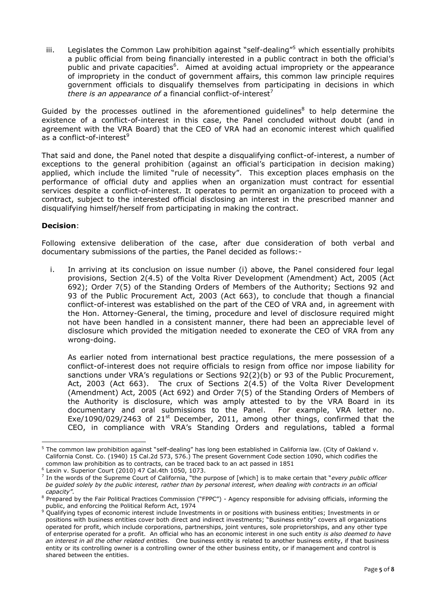iii. Legislates the Common Law prohibition against "self-dealing"<sup>5</sup> which essentially prohibits a public official from being financially interested in a public contract in both the official's public and private capacities<sup>6</sup>. Aimed at avoiding actual impropriety or the appearance of impropriety in the conduct of government affairs, this common law principle requires government officials to disqualify themselves from participating in decisions in which *there is an appearance of a financial conflict-of-interest*<sup>7</sup>

Guided by the processes outlined in the aforementioned guidelines $<sup>8</sup>$  to help determine the</sup> existence of a conflict-of-interest in this case, the Panel concluded without doubt (and in agreement with the VRA Board) that the CEO of VRA had an economic interest which qualified as a conflict-of-interest<sup>9</sup>

That said and done, the Panel noted that despite a disqualifying conflict-of-interest, a number of exceptions to the general prohibition (against an official's participation in decision making) applied, which include the limited "rule of necessity". This exception places emphasis on the performance of official duty and applies when an organization must contract for essential services despite a conflict-of-interest. It operates to permit an organization to proceed with a contract, subject to the interested official disclosing an interest in the prescribed manner and disqualifying himself/herself from participating in making the contract.

# **Decision**:

Following extensive deliberation of the case, after due consideration of both verbal and documentary submissions of the parties, the Panel decided as follows:-

i. In arriving at its conclusion on issue number (i) above, the Panel considered four legal provisions, Section 2(4.5) of the Volta River Development (Amendment) Act, 2005 (Act 692); Order 7(5) of the Standing Orders of Members of the Authority; Sections 92 and 93 of the Public Procurement Act, 2003 (Act 663), to conclude that though a financial conflict-of-interest was established on the part of the CEO of VRA and, in agreement with the Hon. Attorney-General, the timing, procedure and level of disclosure required might not have been handled in a consistent manner, there had been an appreciable level of disclosure which provided the mitigation needed to exonerate the CEO of VRA from any wrong-doing.

As earlier noted from international best practice regulations, the mere possession of a conflict-of-interest does not require officials to resign from office nor impose liability for sanctions under VRA's regulations or Sections 92(2)(b) or 93 of the Public Procurement, Act, 2003 (Act 663). The crux of Sections 2(4.5) of the Volta River Development (Amendment) Act, 2005 (Act 692) and Order 7(5) of the Standing Orders of Members of the Authority is disclosure, which was amply attested to by the VRA Board in its documentary and oral submissions to the Panel. For example, VRA letter no. Exe/1090/029/2463 of  $21<sup>st</sup>$  December, 2011, among other things, confirmed that the CEO, in compliance with VRA's Standing Orders and regulations, tabled a formal

 $\overline{a}$ <sup>5</sup> The common law prohibition against "self-dealing" has long been established in California law. (City of Oakland v. California Const. Co. (1940) 15 Cal.2d 573, 576.) The present Government Code section 1090, which codifies the common law prohibition as to contracts, can be traced back to an act passed in 1851

<sup>6</sup> Lexin v. Superior Court (2010) 47 Cal.4th 1050, 1073.

<sup>7</sup> In the words of the Supreme Court of California, "the purpose of [which] is to make certain that "*every public officer be guided solely by the public interest, rather than by personal interest, when dealing with contracts in an official capacity".*

<sup>8</sup> Prepared by the Fair Political Practices Commission ("FPPC") - Agency responsible for advising officials, informing the public, and enforcing the Political Reform Act, 1974

<sup>9</sup> Qualifying types of economic interest include Investments in or positions with business entities; Investments in or positions with business entities cover both direct and indirect investments; "Business entity" covers all organizations operated for profit, which include corporations, partnerships, joint ventures, sole proprietorships, and any other type of enterprise operated for a profit. An official who has an economic interest in one such entity *is also deemed to have an interest in all the other related entities.* One business entity is related to another business entity, if that business entity or its controlling owner is a controlling owner of the other business entity, or if management and control is shared between the entities.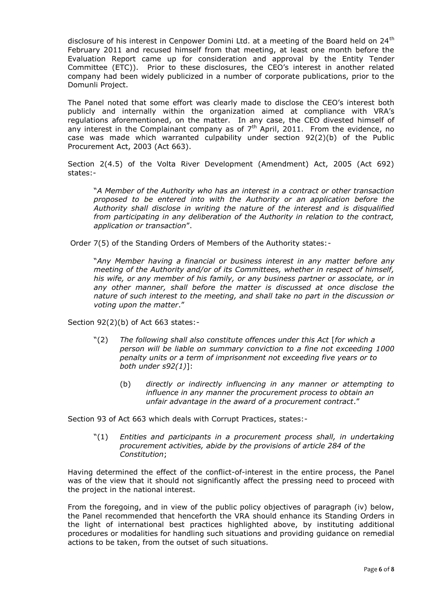disclosure of his interest in Cenpower Domini Ltd. at a meeting of the Board held on 24<sup>th</sup> February 2011 and recused himself from that meeting, at least one month before the Evaluation Report came up for consideration and approval by the Entity Tender Committee (ETC)). Prior to these disclosures, the CEO's interest in another related company had been widely publicized in a number of corporate publications, prior to the Domunli Project.

The Panel noted that some effort was clearly made to disclose the CEO's interest both publicly and internally within the organization aimed at compliance with VRA's regulations aforementioned, on the matter. In any case, the CEO divested himself of any interest in the Complainant company as of  $7<sup>th</sup>$  April, 2011. From the evidence, no case was made which warranted culpability under section 92(2)(b) of the Public Procurement Act, 2003 (Act 663).

Section 2(4.5) of the Volta River Development (Amendment) Act, 2005 (Act 692) states:-

"*A Member of the Authority who has an interest in a contract or other transaction proposed to be entered into with the Authority or an application before the Authority shall disclose in writing the nature of the interest and is disqualified from participating in any deliberation of the Authority in relation to the contract, application or transaction*".

Order 7(5) of the Standing Orders of Members of the Authority states:-

"*Any Member having a financial or business interest in any matter before any meeting of the Authority and/or of its Committees, whether in respect of himself, his wife, or any member of his family, or any business partner or associate, or in any other manner, shall before the matter is discussed at once disclose the nature of such interest to the meeting, and shall take no part in the discussion or voting upon the matter*."

Section 92(2)(b) of Act 663 states:-

- "(2) *The following shall also constitute offences under this Act* [*for which a person will be liable on summary conviction to a fine not exceeding 1000 penalty units or a term of imprisonment not exceeding five years or to both under s92(1)*]:
	- (b) *directly or indirectly influencing in any manner or attempting to influence in any manner the procurement process to obtain an unfair advantage in the award of a procurement contract*."

Section 93 of Act 663 which deals with Corrupt Practices, states:-

"(1) *Entities and participants in a procurement process shall, in undertaking procurement activities, abide by the provisions of article 284 of the Constitution*;

Having determined the effect of the conflict-of-interest in the entire process, the Panel was of the view that it should not significantly affect the pressing need to proceed with the project in the national interest.

From the foregoing, and in view of the public policy objectives of paragraph (iv) below, the Panel recommended that henceforth the VRA should enhance its Standing Orders in the light of international best practices highlighted above, by instituting additional procedures or modalities for handling such situations and providing guidance on remedial actions to be taken, from the outset of such situations.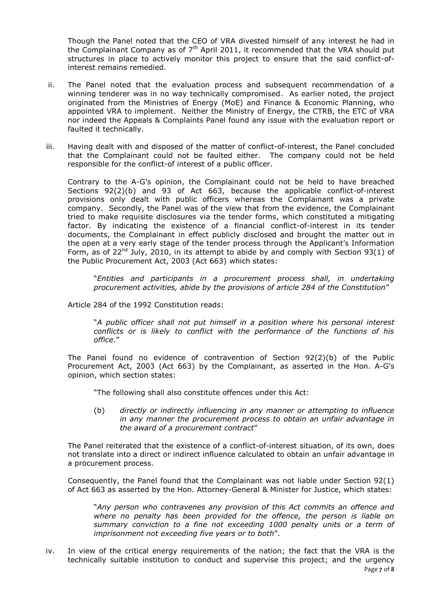Though the Panel noted that the CEO of VRA divested himself of any interest he had in the Complainant Company as of  $7<sup>th</sup>$  April 2011, it recommended that the VRA should put structures in place to actively monitor this project to ensure that the said conflict-ofinterest remains remedied.

- ii. The Panel noted that the evaluation process and subsequent recommendation of a winning tenderer was in no way technically compromised. As earlier noted, the project originated from the Ministries of Energy (MoE) and Finance & Economic Planning, who appointed VRA to implement. Neither the Ministry of Energy, the CTRB, the ETC of VRA nor indeed the Appeals & Complaints Panel found any issue with the evaluation report or faulted it technically.
- iii. Having dealt with and disposed of the matter of conflict-of-interest, the Panel concluded that the Complainant could not be faulted either. The company could not be held responsible for the conflict-of interest of a public officer.

Contrary to the A-G's opinion, the Complainant could not be held to have breached Sections 92(2)(b) and 93 of Act 663, because the applicable conflict-of-interest provisions only dealt with public officers whereas the Complainant was a private company. Secondly, the Panel was of the view that from the evidence, the Complainant tried to make requisite disclosures via the tender forms, which constituted a mitigating factor. By indicating the existence of a financial conflict-of-interest in its tender documents, the Complainant in effect publicly disclosed and brought the matter out in the open at a very early stage of the tender process through the Applicant's Information Form, as of  $22^{nd}$  July, 2010, in its attempt to abide by and comply with Section 93(1) of the Public Procurement Act, 2003 (Act 663) which states:

"*Entities and participants in a procurement process shall, in undertaking procurement activities, abide by the provisions of article 284 of the Constitution*"

Article 284 of the 1992 Constitution reads:

"*A public officer shall not put himself in a position where his personal interest conflicts or is likely to conflict with the performance of the functions of his office*."

The Panel found no evidence of contravention of Section 92(2)(b) of the Public Procurement Act, 2003 (Act 663) by the Complainant, as asserted in the Hon. A-G's opinion, which section states:

"The following shall also constitute offences under this Act:

(b) *directly or indirectly influencing in any manner or attempting to influence in any manner the procurement process to obtain an unfair advantage in the award of a procurement contract*"

The Panel reiterated that the existence of a conflict-of-interest situation, of its own, does not translate into a direct or indirect influence calculated to obtain an unfair advantage in a procurement process.

Consequently, the Panel found that the Complainant was not liable under Section 92(1) of Act 663 as asserted by the Hon. Attorney-General & Minister for Justice, which states:

"*Any person who contravenes any provision of this Act commits an offence and where no penalty has been provided for the offence, the person is liable on summary conviction to a fine not exceeding 1000 penalty units or a term of imprisonment not exceeding five years or to both*".

Page **7** of **8** iv. In view of the critical energy requirements of the nation; the fact that the VRA is the technically suitable institution to conduct and supervise this project; and the urgency